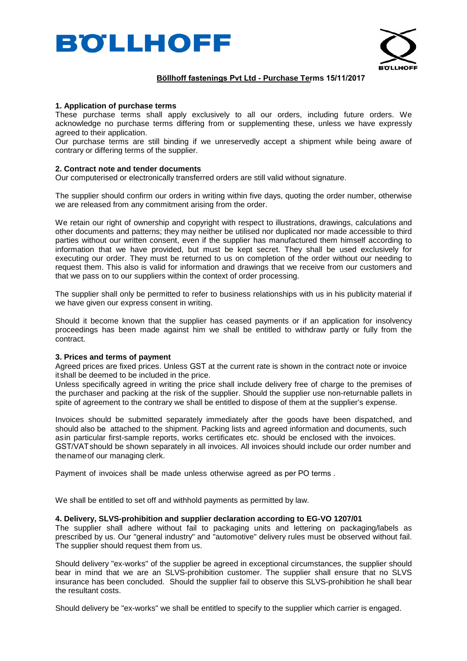



# **Böllhoff fastenings Pvt Ltd - Purchase Terms 15/11/2017**

### **1. Application of purchase terms**

These purchase terms shall apply exclusively to all our orders, including future orders. We acknowledge no purchase terms differing from or supplementing these, unless we have expressly agreed to their application.

Our purchase terms are still binding if we unreservedly accept a shipment while being aware of contrary or differing terms of the supplier.

#### **2. Contract note and tender documents**

Our computerised or electronically transferred orders are still valid without signature.

The supplier should confirm our orders in writing within five days, quoting the order number, otherwise we are released from any commitment arising from the order.

We retain our right of ownership and copyright with respect to illustrations, drawings, calculations and other documents and patterns; they may neither be utilised nor duplicated nor made accessible to third parties without our written consent, even if the supplier has manufactured them himself according to information that we have provided, but must be kept secret. They shall be used exclusively for executing our order. They must be returned to us on completion of the order without our needing to request them. This also is valid for information and drawings that we receive from our customers and that we pass on to our suppliers within the context of order processing.

The supplier shall only be permitted to refer to business relationships with us in his publicity material if we have given our express consent in writing.

Should it become known that the supplier has ceased payments or if an application for insolvency proceedings has been made against him we shall be entitled to withdraw partly or fully from the contract.

## **3. Prices and terms of payment**

Agreed prices are fixed prices. Unless GST at the current rate is shown in the contract note or invoice itshall be deemed to be included in the price.

Unless specifically agreed in writing the price shall include delivery free of charge to the premises of the purchaser and packing at the risk of the supplier. Should the supplier use non-returnable pallets in spite of agreement to the contrary we shall be entitled to dispose of them at the supplier's expense.

Invoices should be submitted separately immediately after the goods have been dispatched, and should also be attached to the shipment. Packing lists and agreed information and documents, such asin particular first-sample reports, works certificates etc. should be enclosed with the invoices. GST/VATshould be shown separately in all invoices. All invoices should include our order number and thenameof our managing clerk.

Payment of invoices shall be made unless otherwise agreed as per PO terms .

We shall be entitled to set off and withhold payments as permitted by law.

#### **4. Delivery, SLVS-prohibition and supplier declaration according to EG-VO 1207/01**

The supplier shall adhere without fail to packaging units and lettering on packaging/labels as prescribed by us. Our "general industry" and "automotive" delivery rules must be observed without fail. The supplier should request them from us.

Should delivery "ex-works" of the supplier be agreed in exceptional circumstances, the supplier should bear in mind that we are an SLVS-prohibition customer. The supplier shall ensure that no SLVS insurance has been concluded. Should the supplier fail to observe this SLVS-prohibition he shall bear the resultant costs.

Should delivery be "ex-works" we shall be entitled to specify to the supplier which carrier is engaged.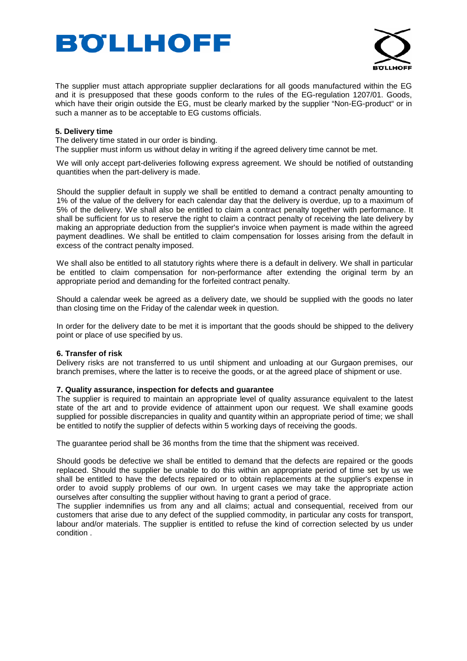



The supplier must attach appropriate supplier declarations for all goods manufactured within the EG and it is presupposed that these goods conform to the rules of the EG-regulation 1207/01. Goods, which have their origin outside the EG, must be clearly marked by the supplier "Non-EG-product" or in such a manner as to be acceptable to EG customs officials.

# **5. Delivery time**

The delivery time stated in our order is binding.

The supplier must inform us without delay in writing if the agreed delivery time cannot be met.

We will only accept part-deliveries following express agreement. We should be notified of outstanding quantities when the part-delivery is made.

Should the supplier default in supply we shall be entitled to demand a contract penalty amounting to 1% of the value of the delivery for each calendar day that the delivery is overdue, up to a maximum of 5% of the delivery. We shall also be entitled to claim a contract penalty together with performance. It shall be sufficient for us to reserve the right to claim a contract penalty of receiving the late delivery by making an appropriate deduction from the supplier's invoice when payment is made within the agreed payment deadlines. We shall be entitled to claim compensation for losses arising from the default in excess of the contract penalty imposed.

We shall also be entitled to all statutory rights where there is a default in delivery. We shall in particular be entitled to claim compensation for non-performance after extending the original term by an appropriate period and demanding for the forfeited contract penalty.

Should a calendar week be agreed as a delivery date, we should be supplied with the goods no later than closing time on the Friday of the calendar week in question.

In order for the delivery date to be met it is important that the goods should be shipped to the delivery point or place of use specified by us.

### **6. Transfer of risk**

Delivery risks are not transferred to us until shipment and unloading at our Gurgaon premises, our branch premises, where the latter is to receive the goods, or at the agreed place of shipment or use.

### **7. Quality assurance, inspection for defects and guarantee**

The supplier is required to maintain an appropriate level of quality assurance equivalent to the latest state of the art and to provide evidence of attainment upon our request. We shall examine goods supplied for possible discrepancies in quality and quantity within an appropriate period of time; we shall be entitled to notify the supplier of defects within 5 working days of receiving the goods.

The guarantee period shall be 36 months from the time that the shipment was received.

Should goods be defective we shall be entitled to demand that the defects are repaired or the goods replaced. Should the supplier be unable to do this within an appropriate period of time set by us we shall be entitled to have the defects repaired or to obtain replacements at the supplier's expense in order to avoid supply problems of our own. In urgent cases we may take the appropriate action ourselves after consulting the supplier without having to grant a period of grace.

The supplier indemnifies us from any and all claims; actual and consequential, received from our customers that arise due to any defect of the supplied commodity, in particular any costs for transport, labour and/or materials. The supplier is entitled to refuse the kind of correction selected by us under condition .